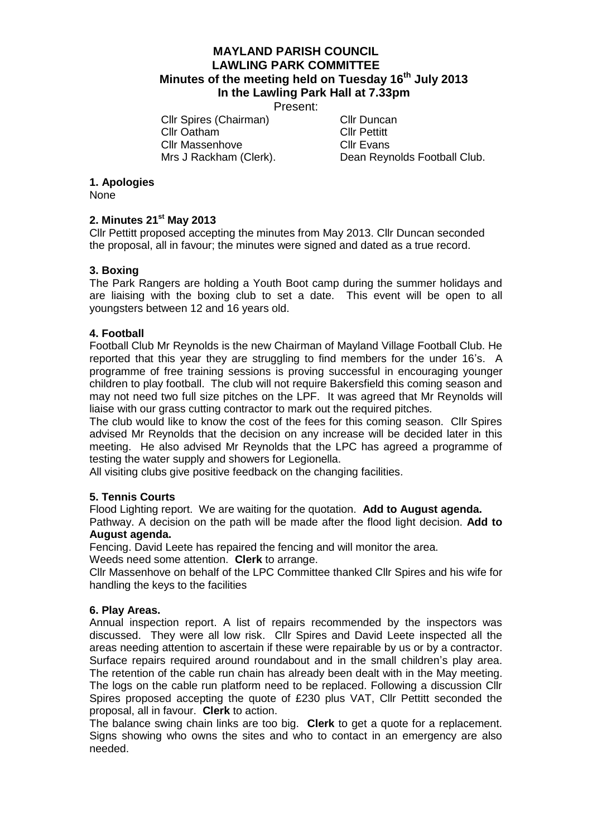# **MAYLAND PARISH COUNCIL LAWLING PARK COMMITTEE Minutes of the meeting held on Tuesday 16th July 2013 In the Lawling Park Hall at 7.33pm**

Present:

Cllr Spires (Chairman) Cllr Duncan Cllr Oatham Cllr Pettitt Cllr Massenhove Cllr Evans<br>
Mrs J Rackham (Clerk). Dean Revr

Dean Reynolds Football Club.

## **1. Apologies**

None

# **2. Minutes 21st May 2013**

Cllr Pettitt proposed accepting the minutes from May 2013. Cllr Duncan seconded the proposal, all in favour; the minutes were signed and dated as a true record.

## **3. Boxing**

The Park Rangers are holding a Youth Boot camp during the summer holidays and are liaising with the boxing club to set a date. This event will be open to all youngsters between 12 and 16 years old.

### **4. Football**

Football Club Mr Reynolds is the new Chairman of Mayland Village Football Club. He reported that this year they are struggling to find members for the under 16's. A programme of free training sessions is proving successful in encouraging younger children to play football. The club will not require Bakersfield this coming season and may not need two full size pitches on the LPF. It was agreed that Mr Reynolds will liaise with our grass cutting contractor to mark out the required pitches.

The club would like to know the cost of the fees for this coming season. Cllr Spires advised Mr Reynolds that the decision on any increase will be decided later in this meeting. He also advised Mr Reynolds that the LPC has agreed a programme of testing the water supply and showers for Legionella.

All visiting clubs give positive feedback on the changing facilities.

## **5. Tennis Courts**

Flood Lighting report. We are waiting for the quotation. **Add to August agenda.**

Pathway. A decision on the path will be made after the flood light decision. **Add to August agenda.**

Fencing. David Leete has repaired the fencing and will monitor the area.

Weeds need some attention. **Clerk** to arrange.

Cllr Massenhove on behalf of the LPC Committee thanked Cllr Spires and his wife for handling the keys to the facilities

#### **6. Play Areas.**

Annual inspection report. A list of repairs recommended by the inspectors was discussed. They were all low risk. Cllr Spires and David Leete inspected all the areas needing attention to ascertain if these were repairable by us or by a contractor. Surface repairs required around roundabout and in the small children's play area. The retention of the cable run chain has already been dealt with in the May meeting. The logs on the cable run platform need to be replaced. Following a discussion Cllr Spires proposed accepting the quote of £230 plus VAT, Cllr Pettitt seconded the proposal, all in favour. **Clerk** to action.

The balance swing chain links are too big. **Clerk** to get a quote for a replacement. Signs showing who owns the sites and who to contact in an emergency are also needed.